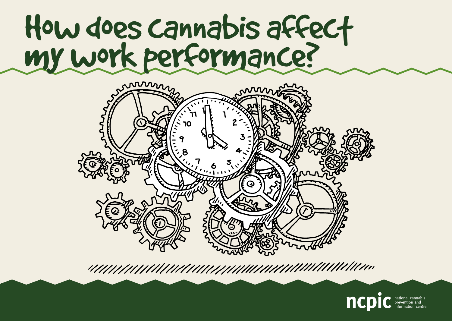# How does cannabis affect my work performance?



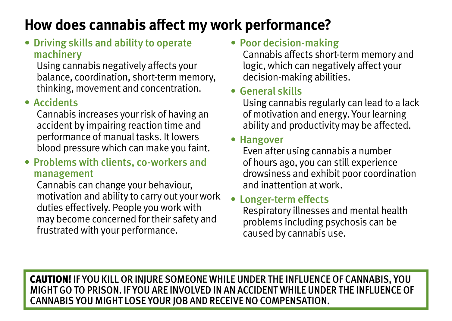## **How does cannabis affect my work performance?**

• Driving skills and ability to operate machinery

Using cannabis negatively affects your balance, coordination, short-term memory, thinking, movement and concentration.

#### • Accidents

Cannabis increases your risk of having an accident by impairing reaction time and performance of manual tasks. It lowers blood pressure which can make you faint.

• Problems with clients, co-workers and management

Cannabis can change your behaviour, motivation and ability to carry out your work duties effectively. People you work with may become concerned for their safety and frustrated with your performance.

• Poor decision-making

Cannabis affects short-term memory and logic, which can negatively affect your decision-making abilities.

#### • General skills

Using cannabis regularly can lead to a lack of motivation and energy. Your learning ability and productivity may be affected.

#### • Hangover

Even after using cannabis a number of hours ago, you can still experience drowsiness and exhibit poor coordination and inattention at work.

#### Longer-term effects

Respiratory illnesses and mental health problems including psychosis can be caused by cannabis use.

CAUTION! If you kill or injure someone while under the influence of cannabis, you MIGHT go to prison. If you are involved in an accident while under the influence of cannabis you MIGHT LOSE YOUR JOB AND RECEIVE NO COMPENSATION.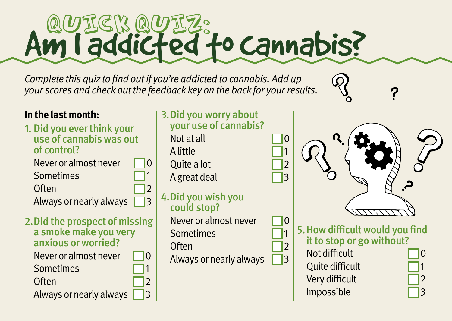# **Am I addicted to cannabis?**

Complete this quiz to find out if you're addicted to cannabis. Add up your scores and check out the feedback key on the back for your results.

#### **In the last month:**

1. Did you ever think your use of cannabis was out of control?

Never or almost never  $\Box$  0 **Sometimes** Often  $\Box$ 

Always or nearly always  $\Box$ 3

2. Did the prospect of missing a smoke make you very anxious or worried?

Never or almost never  $\Box$  0 **Sometimes** Often  $\Box$ Always or nearly always  $\Box$ 3

#### 3. Did you worry about your use of cannabis?

Not at all 0 A little 1 Quite a lot 2

A great deal 3

4. Did you wish you could stop? Never or almost never **Sometimes** Often Always or nearly always 3

5. How difficult would you find it to stop or go without?

Not difficult 0 Quite difficult 1 Very difficult Impossible 3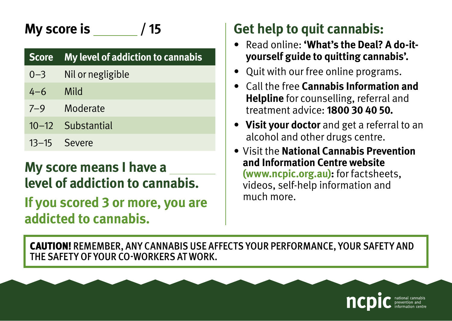# **My score is / 15**

| Score My level of addiction to cannabis |
|-----------------------------------------|
| 0 2 Nilorposticible                     |

- 0–3 Nil or negligible
- 4–6 Mild
- 7–9 Moderate
- 10–12 Substantial
- 13–15 Severe

#### **My score means I have a level of addiction to cannabis.**

**If you scored 3 or more, you are addicted to cannabis.**

# **Get help to quit cannabis:**

- **Read online: 'What's the Deal? A do-ityourself guide to quitting cannabis'.**
- Quit with our free online programs.
- • Call the free **Cannabis Information and Helpline** for counselling, referral and treatment advice: **1800 30 40 50.**
- • **Visit your doctor** and get a referral to an alcohol and other drugs centre.
- • Visit the **National Cannabis Prevention and Information Centre website (www.ncpic.org.au):** for factsheets, videos, self-help information and much more.

CAUTION! Remember, any cannabis use affects your performance, your SAFETY and THE SAFETY OF YOUR CO-WORKERS AT WORK.

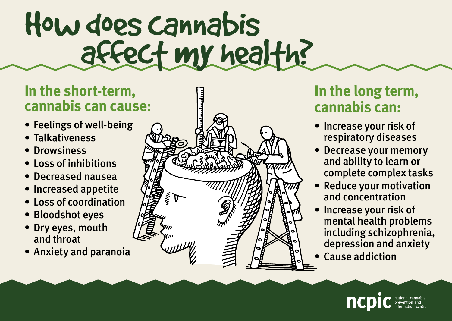# How does cannabis affect my health?

#### **In the short-term, cannabis can cause:**

- Feelings of well-being
- • Talkativeness
- • Drowsiness
- • Loss of inhibitions
- • Decreased nausea
- Increased appetite
- • Loss of coordination
- Bloodshot eves
- Drv eves, mouth and throat
- Anxiety and paranoia



#### **In the long term, cannabis can:**

- Increase your risk of respiratory diseases
- Decrease your memory and ability to learn or complete complex tasks
- Reduce your motivation and concentration
- Increase your risk of mental health problems including schizophrenia, depression and anxiety
- • Cause addiction

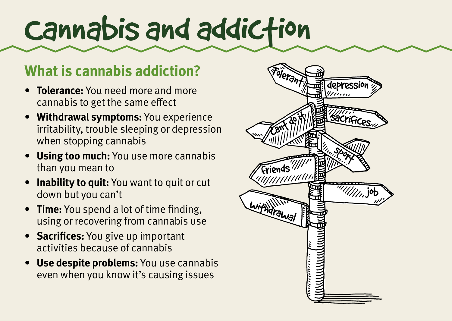# Cannabis and addiction

#### **What is cannabis addiction?**

- **Tolerance:** You need more and more cannabis to get the same effect
- **Withdrawal symptoms:** You experience irritability, trouble sleeping or depression when stopping cannabis
- **Using too much:** You use more cannabis than you mean to
- **Inability to quit:** You want to quit or cut down but you can't
- **Time:** You spend a lot of time finding, using or recovering from cannabis use
- **Sacrifices:** You give up important activities because of cannabis
- • **Use despite problems:** You use cannabis even when you know it's causing issues